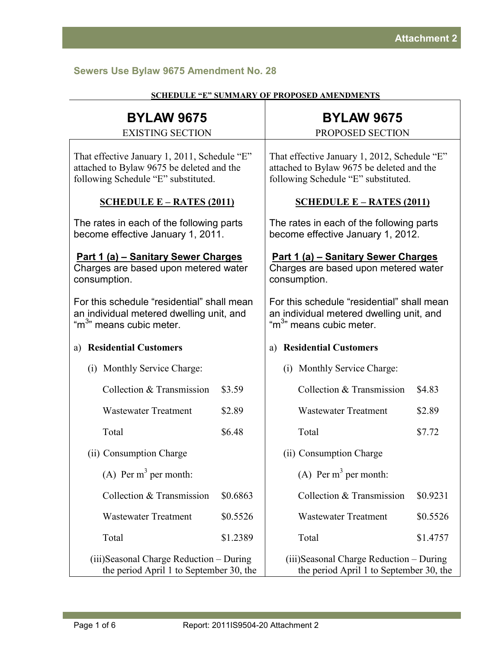# **Sewers Use Bylaw 9675 Amendment No. 28**

| <b>BYLAW 9675</b><br><b>EXISTING SECTION</b>                                                                                     |          |                                                                                                                                  | <b>BYLAW 9675</b><br>PROPOSED SECTION |          |
|----------------------------------------------------------------------------------------------------------------------------------|----------|----------------------------------------------------------------------------------------------------------------------------------|---------------------------------------|----------|
| That effective January 1, 2011, Schedule "E"<br>attached to Bylaw 9675 be deleted and the<br>following Schedule "E" substituted. |          | That effective January 1, 2012, Schedule "E"<br>attached to Bylaw 9675 be deleted and the<br>following Schedule "E" substituted. |                                       |          |
| <b>SCHEDULE E – RATES (2011)</b>                                                                                                 |          | SCHEDULE $E - RATES (2011)$                                                                                                      |                                       |          |
| The rates in each of the following parts<br>become effective January 1, 2011.                                                    |          | The rates in each of the following parts<br>become effective January 1, 2012.                                                    |                                       |          |
| Part 1 (a) - Sanitary Sewer Charges<br>Charges are based upon metered water<br>consumption.                                      |          | Part 1 (a) - Sanitary Sewer Charges<br>Charges are based upon metered water<br>consumption.                                      |                                       |          |
| For this schedule "residential" shall mean<br>an individual metered dwelling unit, and<br>"m <sup>3</sup> " means cubic meter.   |          | For this schedule "residential" shall mean<br>an individual metered dwelling unit, and<br>"m <sup>3</sup> " means cubic meter.   |                                       |          |
| <b>Residential Customers</b><br>a)                                                                                               |          |                                                                                                                                  | a) Residential Customers              |          |
| (i) Monthly Service Charge:                                                                                                      |          |                                                                                                                                  | (i) Monthly Service Charge:           |          |
| Collection & Transmission                                                                                                        | \$3.59   |                                                                                                                                  | Collection & Transmission             | \$4.83   |
| <b>Wastewater Treatment</b>                                                                                                      | \$2.89   |                                                                                                                                  | <b>Wastewater Treatment</b>           | \$2.89   |
| Total                                                                                                                            | \$6.48   |                                                                                                                                  | Total                                 | \$7.72   |
| (ii) Consumption Charge                                                                                                          |          |                                                                                                                                  | (ii) Consumption Charge               |          |
| (A) Per $m^3$ per month:                                                                                                         |          |                                                                                                                                  | (A) Per $m^3$ per month:              |          |
| Collection & Transmission                                                                                                        | \$0.6863 |                                                                                                                                  | Collection & Transmission             | \$0.9231 |
| <b>Wastewater Treatment</b>                                                                                                      | \$0.5526 |                                                                                                                                  | <b>Wastewater Treatment</b>           | \$0.5526 |
| Total                                                                                                                            | \$1.2389 |                                                                                                                                  | Total                                 | \$1.4757 |
| (iii) Seasonal Charge Reduction – During<br>the period April 1 to September 30, the                                              |          | (iii)Seasonal Charge Reduction – During<br>the period April 1 to September 30, the                                               |                                       |          |

#### **SCHEDULE "E" SUMMARY OF PROPOSED AMENDMENTS**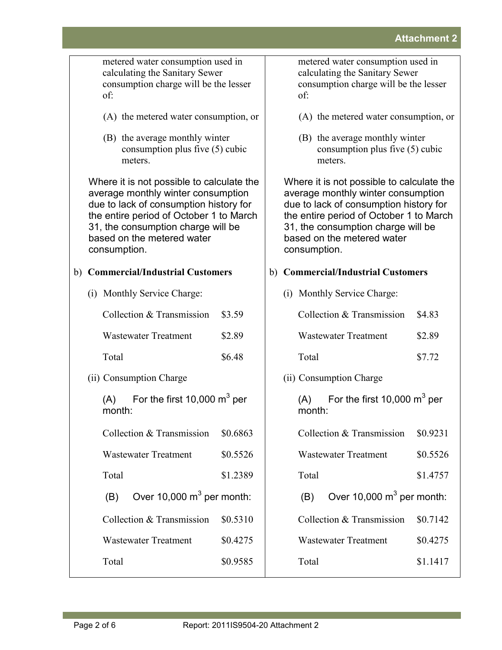|                                                 | metered water consumption used in<br>calculating the Sanitary Sewer<br>consumption charge will be the lesser<br>of:                                                                                                                                      | metered water consumption used in<br>calculating the Sanitary Sewer<br>consumption charge will be the lesser<br>of:                                                                                                                                      |  |  |
|-------------------------------------------------|----------------------------------------------------------------------------------------------------------------------------------------------------------------------------------------------------------------------------------------------------------|----------------------------------------------------------------------------------------------------------------------------------------------------------------------------------------------------------------------------------------------------------|--|--|
|                                                 | (A) the metered water consumption, or                                                                                                                                                                                                                    | (A) the metered water consumption, or                                                                                                                                                                                                                    |  |  |
|                                                 | (B) the average monthly winter<br>consumption plus five (5) cubic<br>meters.                                                                                                                                                                             | (B) the average monthly winter<br>consumption plus five (5) cubic<br>meters.                                                                                                                                                                             |  |  |
|                                                 | Where it is not possible to calculate the<br>average monthly winter consumption<br>due to lack of consumption history for<br>the entire period of October 1 to March<br>31, the consumption charge will be<br>based on the metered water<br>consumption. | Where it is not possible to calculate the<br>average monthly winter consumption<br>due to lack of consumption history for<br>the entire period of October 1 to March<br>31, the consumption charge will be<br>based on the metered water<br>consumption. |  |  |
|                                                 | b) Commercial/Industrial Customers                                                                                                                                                                                                                       | b) Commercial/Industrial Customers                                                                                                                                                                                                                       |  |  |
|                                                 | (i) Monthly Service Charge:                                                                                                                                                                                                                              | (i) Monthly Service Charge:                                                                                                                                                                                                                              |  |  |
|                                                 | Collection & Transmission<br>\$3.59                                                                                                                                                                                                                      | Collection & Transmission<br>\$4.83                                                                                                                                                                                                                      |  |  |
|                                                 | <b>Wastewater Treatment</b><br>\$2.89                                                                                                                                                                                                                    | <b>Wastewater Treatment</b><br>\$2.89                                                                                                                                                                                                                    |  |  |
|                                                 | Total<br>\$6.48                                                                                                                                                                                                                                          | Total<br>\$7.72                                                                                                                                                                                                                                          |  |  |
|                                                 | (ii) Consumption Charge                                                                                                                                                                                                                                  | (ii) Consumption Charge                                                                                                                                                                                                                                  |  |  |
| For the first 10,000 $m^3$ per<br>(A)<br>month: |                                                                                                                                                                                                                                                          | For the first 10,000 $m^3$ per<br>(A)<br>month:                                                                                                                                                                                                          |  |  |
|                                                 | Collection & Transmission<br>\$0.6863                                                                                                                                                                                                                    | Collection & Transmission<br>\$0.9231                                                                                                                                                                                                                    |  |  |
|                                                 | <b>Wastewater Treatment</b><br>\$0.5526                                                                                                                                                                                                                  | <b>Wastewater Treatment</b><br>\$0.5526                                                                                                                                                                                                                  |  |  |
|                                                 | Total<br>\$1.2389                                                                                                                                                                                                                                        | Total<br>\$1.4757                                                                                                                                                                                                                                        |  |  |
|                                                 | Over 10,000 $m^3$ per month:<br>(B)                                                                                                                                                                                                                      | Over 10,000 $m^3$ per month:<br>(B)                                                                                                                                                                                                                      |  |  |
|                                                 | Collection & Transmission<br>\$0.5310                                                                                                                                                                                                                    | Collection & Transmission<br>\$0.7142                                                                                                                                                                                                                    |  |  |
|                                                 | <b>Wastewater Treatment</b><br>\$0.4275                                                                                                                                                                                                                  | <b>Wastewater Treatment</b><br>\$0.4275                                                                                                                                                                                                                  |  |  |
|                                                 | Total<br>\$0.9585                                                                                                                                                                                                                                        | Total<br>\$1.1417                                                                                                                                                                                                                                        |  |  |
|                                                 |                                                                                                                                                                                                                                                          |                                                                                                                                                                                                                                                          |  |  |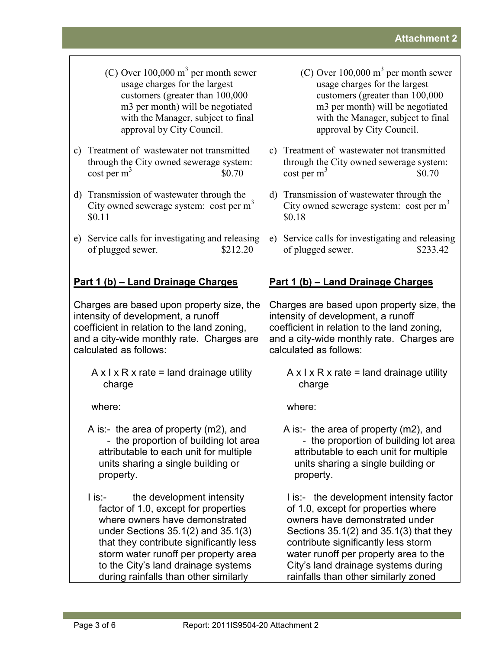- $(C)$  Over 100,000 m<sup>3</sup> per month sewer usage charges for the largest customers (greater than 100,000 m3 per month) will be negotiated with the Manager, subject to final approval by City Council.
- c) Treatment of wastewater not transmitted through the City owned sewerage system:  $\cos t$  per m<sup>3</sup> \$0.70
- d) Transmission of wastewater through the City owned sewerage system: cost per  $m<sup>3</sup>$ \$0.11
- e) Service calls for investigating and releasing of plugged sewer. \$212.20

# **Part 1 (b) – Land Drainage Charges**

Charges are based upon property size, the intensity of development, a runoff coefficient in relation to the land zoning, and a city-wide monthly rate. Charges are calculated as follows:

 $A \times I \times R \times$  rate = land drainage utility charge

where:

- A is:- the area of property (m2), and - the proportion of building lot area attributable to each unit for multiple units sharing a single building or property.
- I is:- the development intensity factor of 1.0, except for properties where owners have demonstrated under Sections 35.1(2) and 35.1(3) that they contribute significantly less storm water runoff per property area to the City's land drainage systems during rainfalls than other similarly
- (C) Over  $100,000 \text{ m}^3$  per month sewer usage charges for the largest customers (greater than 100,000 m3 per month) will be negotiated with the Manager, subject to final approval by City Council.
- c) Treatment of wastewater not transmitted through the City owned sewerage system:  $\cosh \rho$  per m<sup>3</sup> \$0.70
- d) Transmission of wastewater through the City owned sewerage system: cost per  $m<sup>3</sup>$ \$0.18
- e) Service calls for investigating and releasing of plugged sewer. \$233.42

# **Part 1 (b) – Land Drainage Charges**

Charges are based upon property size, the intensity of development, a runoff coefficient in relation to the land zoning, and a city-wide monthly rate. Charges are calculated as follows:

 $A \times I \times R \times$  rate = land drainage utility charge

where:

A is:- the area of property (m2), and - the proportion of building lot area attributable to each unit for multiple units sharing a single building or property.

I is:- the development intensity factor of 1.0, except for properties where owners have demonstrated under Sections 35.1(2) and 35.1(3) that they contribute significantly less storm water runoff per property area to the City's land drainage systems during rainfalls than other similarly zoned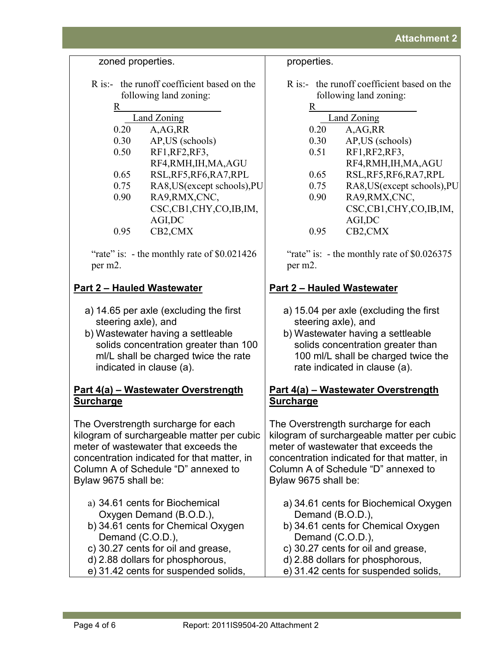zoned properties.

- R is:- the runoff coefficient based on the following land zoning:
	- R Land Zoning 0.20 A,AG,RR 0.30 AP,US (schools) 0.50 RF1,RF2,RF3, RF4,RMH,IH,MA,AGU 0.65 RSL,RF5,RF6,RA7,RPL 0.75 RA8,US(except schools),PU 0.90 RA9,RMX,CNC, CSC,CB1,CHY,CO,IB,IM, AGI,DC 0.95 CB2,CMX

"rate" is: - the monthly rate of \$0.021426" per m2.

# **Part 2 – Hauled Wastewater**

- a) 14.65 per axle (excluding the first steering axle), and
- b) Wastewater having a settleable solids concentration greater than 100 ml/L shall be charged twice the rate indicated in clause (a).

### **Part 4(a) – Wastewater Overstrength Surcharge**

The Overstrength surcharge for each kilogram of surchargeable matter per cubic meter of wastewater that exceeds the concentration indicated for that matter, in Column A of Schedule "D" annexed to Bylaw 9675 shall be:

- a) 34.61 cents for Biochemical Oxygen Demand (B.O.D.),
- b) 34.61 cents for Chemical Oxygen Demand (C.O.D.),
- c) 30.27 cents for oil and grease,
- d) 2.88 dollars for phosphorous,
- e) 31.42 cents for suspended solids,

properties.

R is:- the runoff coefficient based on the following land zoning:

| R           |                              |  |  |  |
|-------------|------------------------------|--|--|--|
| Land Zoning |                              |  |  |  |
| 0.20        | A, AG, RR                    |  |  |  |
| 0.30        | AP, US (schools)             |  |  |  |
| 0.51        | RF1, RF2, RF3,               |  |  |  |
|             | RF4, RMH, IH, MA, AGU        |  |  |  |
| 0.65        | RSL, RF5, RF6, RA7, RPL      |  |  |  |
| 0.75        | RA8, US (except schools), PU |  |  |  |
| 0.90        | RA9, RMX, CNC,               |  |  |  |
|             | CSC,CB1,CHY,CO,IB,IM,        |  |  |  |
|             | AGI,DC                       |  |  |  |
| () 95       | CB2,CMX                      |  |  |  |
|             |                              |  |  |  |

"rate" is:  $\overline{\phantom{a}}$  - the monthly rate of \$0.026375 per m2.

# **Part 2 – Hauled Wastewater**

- a) 15.04 per axle (excluding the first steering axle), and
- b) Wastewater having a settleable solids concentration greater than 100 ml/L shall be charged twice the rate indicated in clause (a).

### **Part 4(a) – Wastewater Overstrength Surcharge**

The Overstrength surcharge for each kilogram of surchargeable matter per cubic meter of wastewater that exceeds the concentration indicated for that matter, in Column A of Schedule "D" annexed to Bylaw 9675 shall be:

- a) 34.61 cents for Biochemical Oxygen Demand (B.O.D.),
- b) 34.61 cents for Chemical Oxygen Demand (C.O.D.),
- c) 30.27 cents for oil and grease,
- d) 2.88 dollars for phosphorous,
- e) 31.42 cents for suspended solids,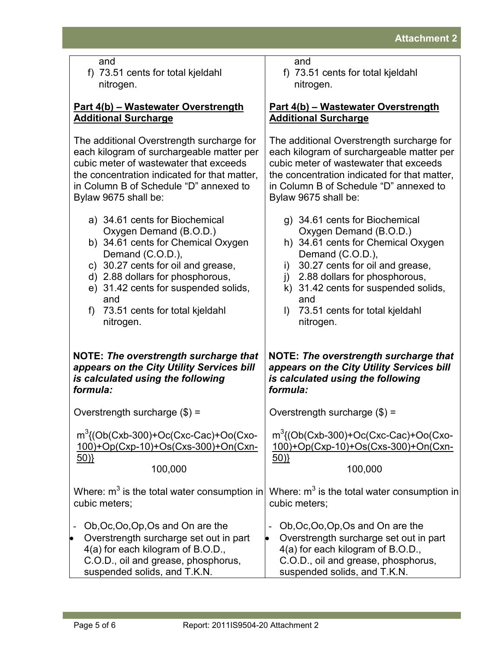f) 73.51 cents for total kjeldahl nitrogen.

### **Part 4(b) – Wastewater Overstrength Additional Surcharge**

The additional Overstrength surcharge for each kilogram of surchargeable matter per cubic meter of wastewater that exceeds the concentration indicated for that matter, in Column B of Schedule "D" annexed to

| <b>OURITIII</b> D'UI OUICARE                                                                                                                                                                                                                                                                    | $\frac{1}{2}$ but believe b                                                                                                                                                                                                                                                                                                  |  |
|-------------------------------------------------------------------------------------------------------------------------------------------------------------------------------------------------------------------------------------------------------------------------------------------------|------------------------------------------------------------------------------------------------------------------------------------------------------------------------------------------------------------------------------------------------------------------------------------------------------------------------------|--|
| Bylaw 9675 shall be:                                                                                                                                                                                                                                                                            | Bylaw 9675 shall be:                                                                                                                                                                                                                                                                                                         |  |
| a) 34.61 cents for Biochemical<br>Oxygen Demand (B.O.D.)<br>b) 34.61 cents for Chemical Oxygen<br>Demand (C.O.D.),<br>c) 30.27 cents for oil and grease,<br>d) 2.88 dollars for phosphorous,<br>e) 31.42 cents for suspended solids,<br>and<br>73.51 cents for total kjeldahl<br>f<br>nitrogen. | g) 34.61 cents for Biochemical<br>Oxygen Demand (B.O.D.)<br>h) 34.61 cents for Chemical Oxygen<br>Demand (C.O.D.),<br>30.27 cents for oil and grease,<br>i)<br>2.88 dollars for phosphorous,<br>$\mathsf{I}$ )<br>k) 31.42 cents for suspended solids,<br>and<br>73.51 cents for total kjeldahl<br>$\mathsf{I}$<br>nitrogen. |  |
| <b>NOTE: The overstrength surcharge that</b>                                                                                                                                                                                                                                                    | NOTE: The overstrength surcharge that                                                                                                                                                                                                                                                                                        |  |
| appears on the City Utility Services bill                                                                                                                                                                                                                                                       | appears on the City Utility Services bill                                                                                                                                                                                                                                                                                    |  |
| is calculated using the following                                                                                                                                                                                                                                                               | is calculated using the following                                                                                                                                                                                                                                                                                            |  |
| formula:                                                                                                                                                                                                                                                                                        | formula:                                                                                                                                                                                                                                                                                                                     |  |
| Overstrength surcharge $(\$)$ =                                                                                                                                                                                                                                                                 | Overstrength surcharge $(\$)$ =                                                                                                                                                                                                                                                                                              |  |
| $m^3$ {(Ob(Cxb-300)+Oc(Cxc-Cac)+Oo(Cxo-                                                                                                                                                                                                                                                         | $m^3$ {(Ob(Cxb-300)+Oc(Cxc-Cac)+Oo(Cxo-                                                                                                                                                                                                                                                                                      |  |
| 100)+Op(Cxp-10)+Os(Cxs-300)+On(Cxn-                                                                                                                                                                                                                                                             | 100)+Op(Cxp-10)+Os(Cxs-300)+On(Cxn-                                                                                                                                                                                                                                                                                          |  |
| 50)                                                                                                                                                                                                                                                                                             | 50)                                                                                                                                                                                                                                                                                                                          |  |
| 100,000                                                                                                                                                                                                                                                                                         | 100,000                                                                                                                                                                                                                                                                                                                      |  |
| Where: $m^3$ is the total water consumption in                                                                                                                                                                                                                                                  | Where: $m^3$ is the total water consumption in                                                                                                                                                                                                                                                                               |  |
| cubic meters;                                                                                                                                                                                                                                                                                   | cubic meters;                                                                                                                                                                                                                                                                                                                |  |
| Ob, Oc, Oo, Op, Os and On are the<br>Overstrength surcharge set out in part<br>$\bullet$<br>4(a) for each kilogram of B.O.D.,<br>C.O.D., oil and grease, phosphorus,<br>suspended solids, and T.K.N.                                                                                            | Ob, Oc, Oo, Op, Os and On are the<br>Overstrength surcharge set out in part<br>4(a) for each kilogram of B.O.D.,<br>C.O.D., oil and grease, phosphorus,<br>suspended solids, and T.K.N.                                                                                                                                      |  |

nitrogen.

**Additional Surcharge**

**Part 4(b) – Wastewater Overstrength** 

The additional Overstrength surcharge for each kilogram of surchargeable matter per cubic meter of wastewater that exceeds the concentration indicated for that matter, in Column B of Schedule "D" annexed to